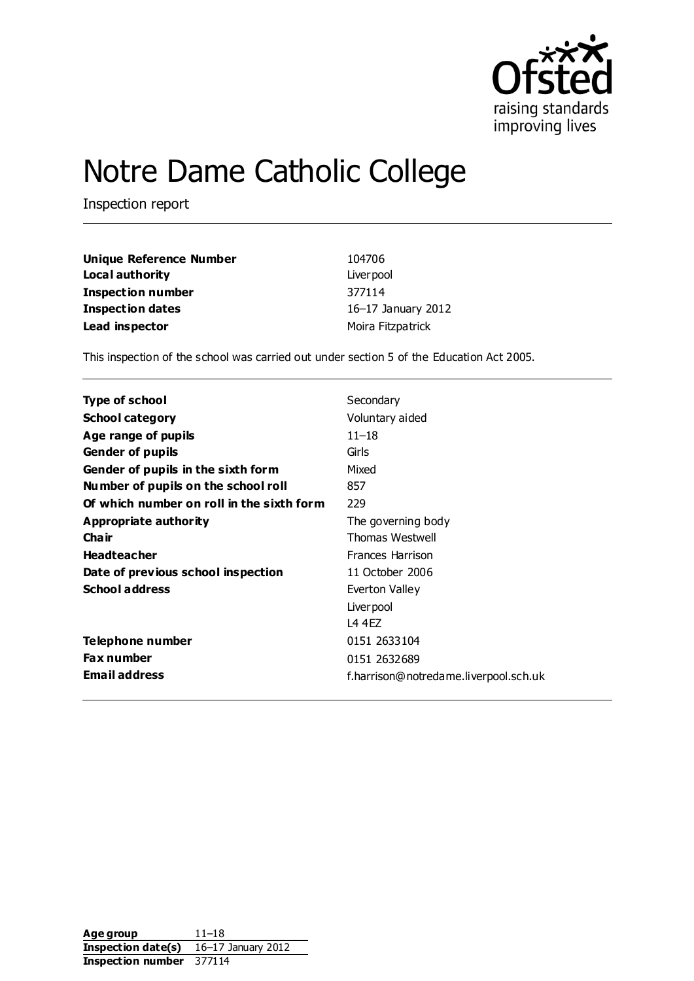

# Notre Dame Catholic College

Inspection report

| Unique Reference Number | 104706             |
|-------------------------|--------------------|
| Local authority         | Liver pool         |
| Inspection number       | 377114             |
| <b>Inspection dates</b> | 16-17 January 2012 |
| Lead inspector          | Moira Fitzpatrick  |

This inspection of the school was carried out under section 5 of the Education Act 2005.

| <b>Type of school</b>                     | Secondary                             |
|-------------------------------------------|---------------------------------------|
| <b>School category</b>                    | Voluntary aided                       |
| Age range of pupils                       | $11 - 18$                             |
| <b>Gender of pupils</b>                   | Girls                                 |
| Gender of pupils in the sixth form        | Mixed                                 |
| Number of pupils on the school roll       | 857                                   |
| Of which number on roll in the sixth form | 229                                   |
| Appropriate authority                     | The governing body                    |
| Cha ir                                    | Thomas Westwell                       |
| <b>Headteacher</b>                        | <b>Frances Harrison</b>               |
| Date of previous school inspection        | 11 October 2006                       |
| <b>School address</b>                     | Everton Valley                        |
|                                           | Liver pool                            |
|                                           | 14 4FZ                                |
| Telephone number                          | 0151 2633104                          |
| <b>Fax number</b>                         | 0151 2632689                          |
| <b>Email address</b>                      | f.harrison@notredame.liverpool.sch.uk |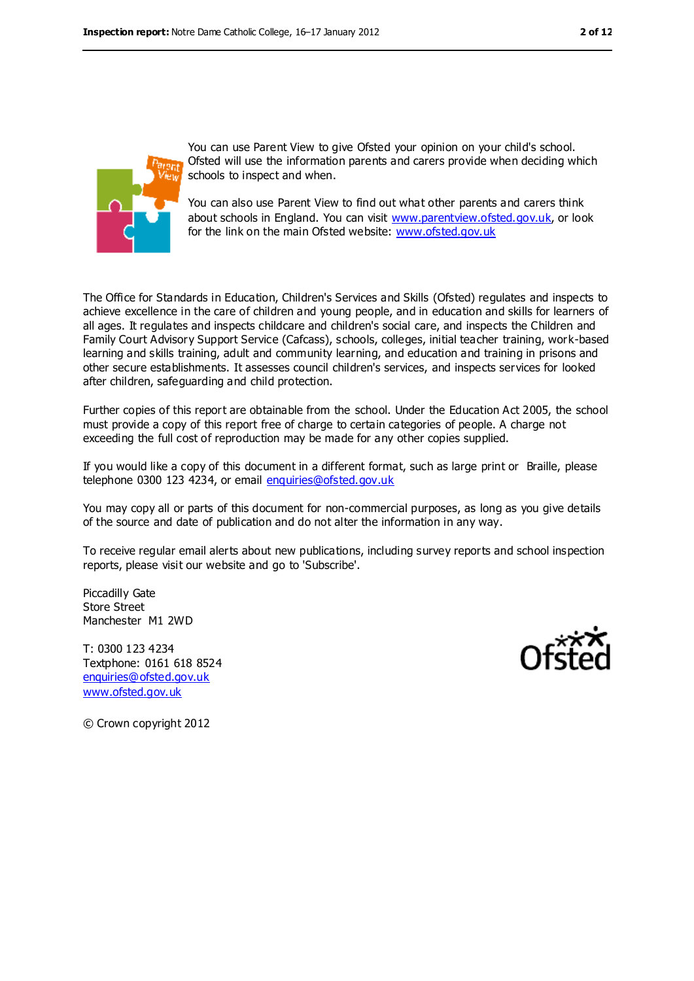

You can use Parent View to give Ofsted your opinion on your child's school. Ofsted will use the information parents and carers provide when deciding which schools to inspect and when.

You can also use Parent View to find out what other parents and carers think about schools in England. You can visit [www.parentview.ofsted.gov.uk,](www.parentview.ofsted.gov.uk) or look for the link on the main Ofsted website:<www.ofsted.gov.uk>

The Office for Standards in Education, Children's Services and Skills (Ofsted) regulates and inspects to achieve excellence in the care of children and young people, and in education and skills for learners of all ages. It regulates and inspects childcare and children's social care, and inspects the Children and Family Court Advisory Support Service (Cafcass), schools, colleges, initial teacher training, work-based learning and skills training, adult and community learning, and education and training in prisons and other secure establishments. It assesses council children's services, and inspects services for looked after children, safeguarding and child protection.

Further copies of this report are obtainable from the school. Under the Education Act 2005, the school must provide a copy of this report free of charge to certain categories of people. A charge not exceeding the full cost of reproduction may be made for any other copies supplied.

If you would like a copy of this document in a different format, such as large print or Braille, please telephone 0300 123 4234, or email [enquiries@ofsted.gov.uk](mailto:enquiries@ofsted.gov.uk)

You may copy all or parts of this document for non-commercial purposes, as long as you give details of the source and date of publication and do not alter the information in any way.

To receive regular email alerts about new publications, including survey reports and school inspection reports, please visit our website and go to 'Subscribe'.

Piccadilly Gate Store Street Manchester M1 2WD

T: 0300 123 4234 Textphone: 0161 618 8524 [enquiries@ofsted.gov.uk](mailto:enquiries@ofsted.gov.uk) [www.ofsted.gov.uk](http://www.ofsted.gov.uk/)



© Crown copyright 2012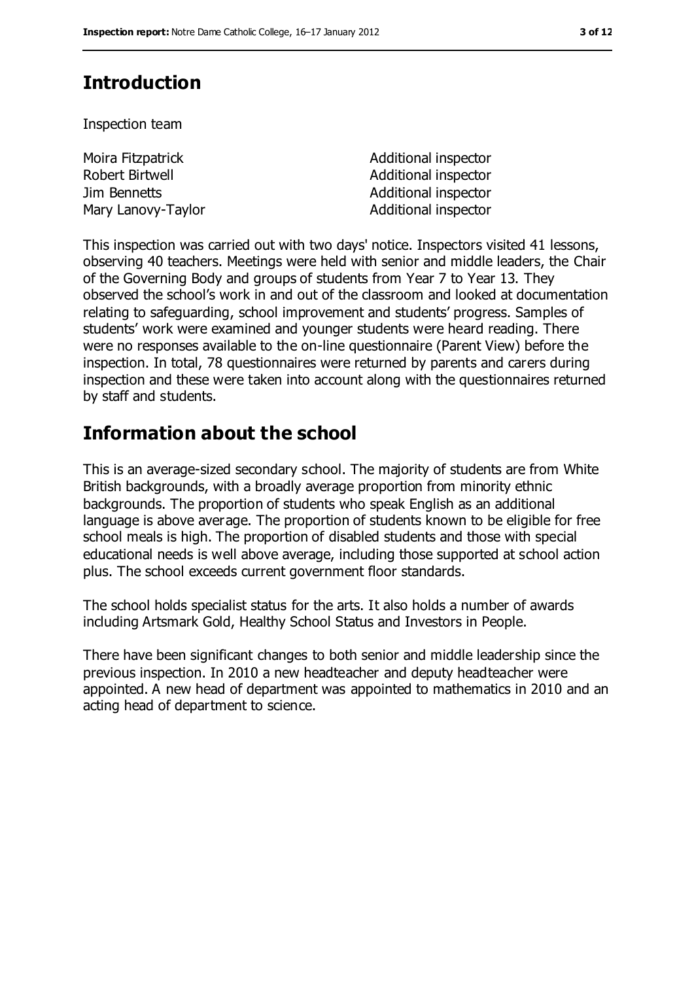# **Introduction**

Inspection team

| Moira Fitzpatrick  | Additional inspector |
|--------------------|----------------------|
| Robert Birtwell    | Additional inspector |
| Jim Bennetts       | Additional inspector |
| Mary Lanovy-Taylor | Additional inspector |

This inspection was carried out with two days' notice. Inspectors visited 41 lessons, observing 40 teachers. Meetings were held with senior and middle leaders, the Chair of the Governing Body and groups of students from Year 7 to Year 13. They observed the school's work in and out of the classroom and looked at documentation relating to safeguarding, school improvement and students' progress. Samples of students' work were examined and younger students were heard reading. There were no responses available to the on-line questionnaire (Parent View) before the inspection. In total, 78 questionnaires were returned by parents and carers during inspection and these were taken into account along with the questionnaires returned by staff and students.

## **Information about the school**

This is an average-sized secondary school. The majority of students are from White British backgrounds, with a broadly average proportion from minority ethnic backgrounds. The proportion of students who speak English as an additional language is above average. The proportion of students known to be eligible for free school meals is high. The proportion of disabled students and those with special educational needs is well above average, including those supported at school action plus. The school exceeds current government floor standards.

The school holds specialist status for the arts. It also holds a number of awards including Artsmark Gold, Healthy School Status and Investors in People.

There have been significant changes to both senior and middle leadership since the previous inspection. In 2010 a new headteacher and deputy headteacher were appointed. A new head of department was appointed to mathematics in 2010 and an acting head of department to science.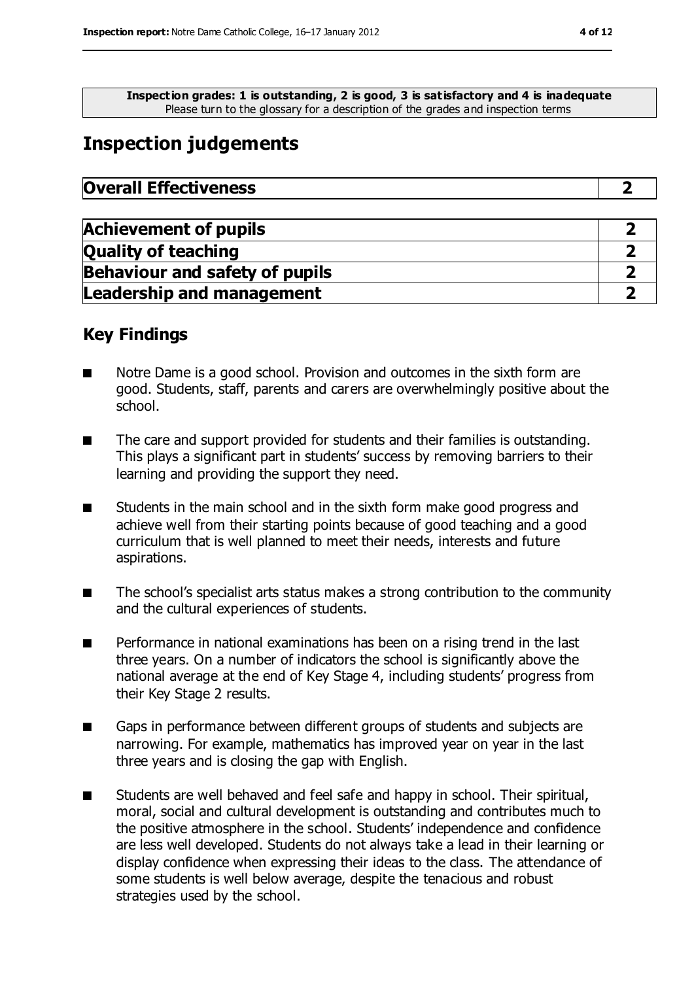**Inspection grades: 1 is outstanding, 2 is good, 3 is satisfactory and 4 is inadequate** Please turn to the glossary for a description of the grades and inspection terms

# **Inspection judgements**

| <b>Overall Effectiveness</b> |  |
|------------------------------|--|
|                              |  |

| <b>Achievement of pupils</b>          |  |
|---------------------------------------|--|
| <b>Quality of teaching</b>            |  |
| <b>Behaviour and safety of pupils</b> |  |
| <b>Leadership and management</b>      |  |

### **Key Findings**

- Notre Dame is a good school. Provision and outcomes in the sixth form are good. Students, staff, parents and carers are overwhelmingly positive about the school.
- The care and support provided for students and their families is outstanding. This plays a significant part in students' success by removing barriers to their learning and providing the support they need.
- Students in the main school and in the sixth form make good progress and achieve well from their starting points because of good teaching and a good curriculum that is well planned to meet their needs, interests and future aspirations.
- The school's specialist arts status makes a strong contribution to the community and the cultural experiences of students.
- Performance in national examinations has been on a rising trend in the last three years. On a number of indicators the school is significantly above the national average at the end of Key Stage 4, including students' progress from their Key Stage 2 results.
- Gaps in performance between different groups of students and subjects are narrowing. For example, mathematics has improved year on year in the last three years and is closing the gap with English.
- Students are well behaved and feel safe and happy in school. Their spiritual, moral, social and cultural development is outstanding and contributes much to the positive atmosphere in the school. Students' independence and confidence are less well developed. Students do not always take a lead in their learning or display confidence when expressing their ideas to the class. The attendance of some students is well below average, despite the tenacious and robust strategies used by the school.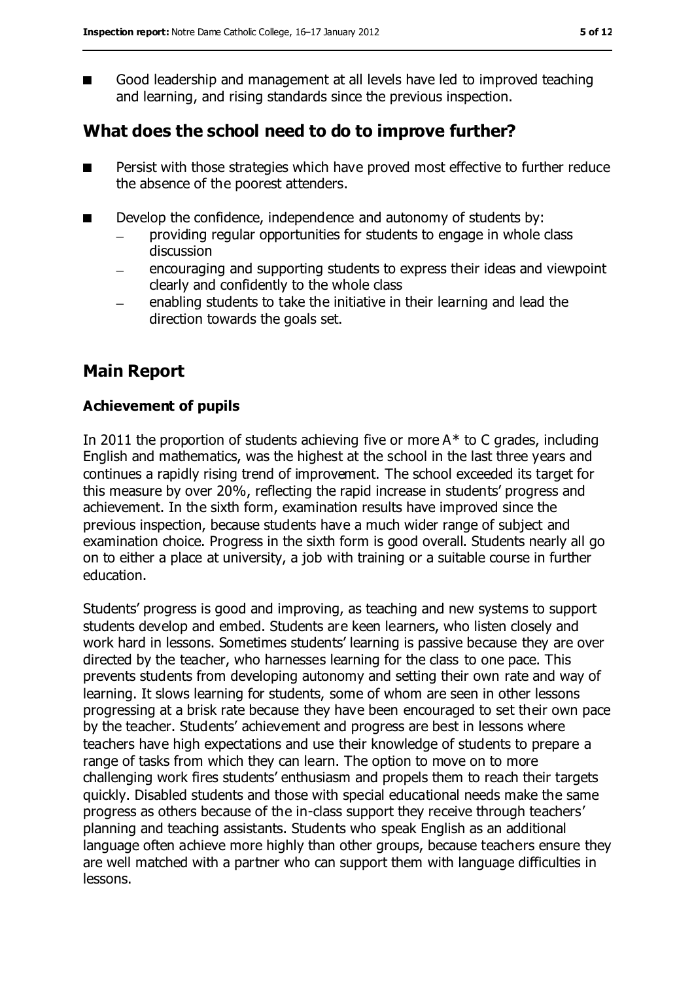■ Good leadership and management at all levels have led to improved teaching and learning, and rising standards since the previous inspection.

### **What does the school need to do to improve further?**

- Persist with those strategies which have proved most effective to further reduce the absence of the poorest attenders.
- Develop the confidence, independence and autonomy of students by:
	- providing regular opportunities for students to engage in whole class discussion
	- encouraging and supporting students to express their ideas and viewpoint clearly and confidently to the whole class
	- enabling students to take the initiative in their learning and lead the direction towards the goals set.

### **Main Report**

#### **Achievement of pupils**

In 2011 the proportion of students achieving five or more  $A^*$  to C grades, including English and mathematics, was the highest at the school in the last three years and continues a rapidly rising trend of improvement. The school exceeded its target for this measure by over 20%, reflecting the rapid increase in students' progress and achievement. In the sixth form, examination results have improved since the previous inspection, because students have a much wider range of subject and examination choice. Progress in the sixth form is good overall. Students nearly all go on to either a place at university, a job with training or a suitable course in further education.

Students' progress is good and improving, as teaching and new systems to support students develop and embed. Students are keen learners, who listen closely and work hard in lessons. Sometimes students' learning is passive because they are over directed by the teacher, who harnesses learning for the class to one pace. This prevents students from developing autonomy and setting their own rate and way of learning. It slows learning for students, some of whom are seen in other lessons progressing at a brisk rate because they have been encouraged to set their own pace by the teacher. Students' achievement and progress are best in lessons where teachers have high expectations and use their knowledge of students to prepare a range of tasks from which they can learn. The option to move on to more challenging work fires students' enthusiasm and propels them to reach their targets quickly. Disabled students and those with special educational needs make the same progress as others because of the in-class support they receive through teachers' planning and teaching assistants. Students who speak English as an additional language often achieve more highly than other groups, because teachers ensure they are well matched with a partner who can support them with language difficulties in lessons.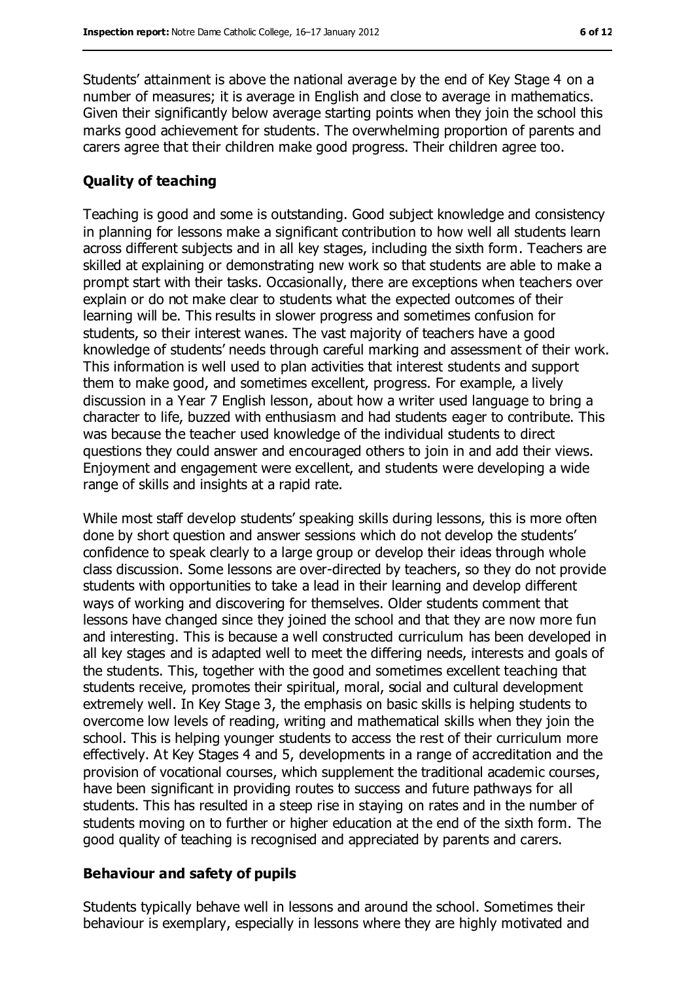Students' attainment is above the national average by the end of Key Stage 4 on a number of measures; it is average in English and close to average in mathematics. Given their significantly below average starting points when they join the school this marks good achievement for students. The overwhelming proportion of parents and carers agree that their children make good progress. Their children agree too.

#### **Quality of teaching**

Teaching is good and some is outstanding. Good subject knowledge and consistency in planning for lessons make a significant contribution to how well all students learn across different subjects and in all key stages, including the sixth form. Teachers are skilled at explaining or demonstrating new work so that students are able to make a prompt start with their tasks. Occasionally, there are exceptions when teachers over explain or do not make clear to students what the expected outcomes of their learning will be. This results in slower progress and sometimes confusion for students, so their interest wanes. The vast majority of teachers have a good knowledge of students' needs through careful marking and assessment of their work. This information is well used to plan activities that interest students and support them to make good, and sometimes excellent, progress. For example, a lively discussion in a Year 7 English lesson, about how a writer used language to bring a character to life, buzzed with enthusiasm and had students eager to contribute. This was because the teacher used knowledge of the individual students to direct questions they could answer and encouraged others to join in and add their views. Enjoyment and engagement were excellent, and students were developing a wide range of skills and insights at a rapid rate.

While most staff develop students' speaking skills during lessons, this is more often done by short question and answer sessions which do not develop the students' confidence to speak clearly to a large group or develop their ideas through whole class discussion. Some lessons are over-directed by teachers, so they do not provide students with opportunities to take a lead in their learning and develop different ways of working and discovering for themselves. Older students comment that lessons have changed since they joined the school and that they are now more fun and interesting. This is because a well constructed curriculum has been developed in all key stages and is adapted well to meet the differing needs, interests and goals of the students. This, together with the good and sometimes excellent teaching that students receive, promotes their spiritual, moral, social and cultural development extremely well. In Key Stage 3, the emphasis on basic skills is helping students to overcome low levels of reading, writing and mathematical skills when they join the school. This is helping younger students to access the rest of their curriculum more effectively. At Key Stages 4 and 5, developments in a range of accreditation and the provision of vocational courses, which supplement the traditional academic courses, have been significant in providing routes to success and future pathways for all students. This has resulted in a steep rise in staying on rates and in the number of students moving on to further or higher education at the end of the sixth form. The good quality of teaching is recognised and appreciated by parents and carers.

#### **Behaviour and safety of pupils**

Students typically behave well in lessons and around the school. Sometimes their behaviour is exemplary, especially in lessons where they are highly motivated and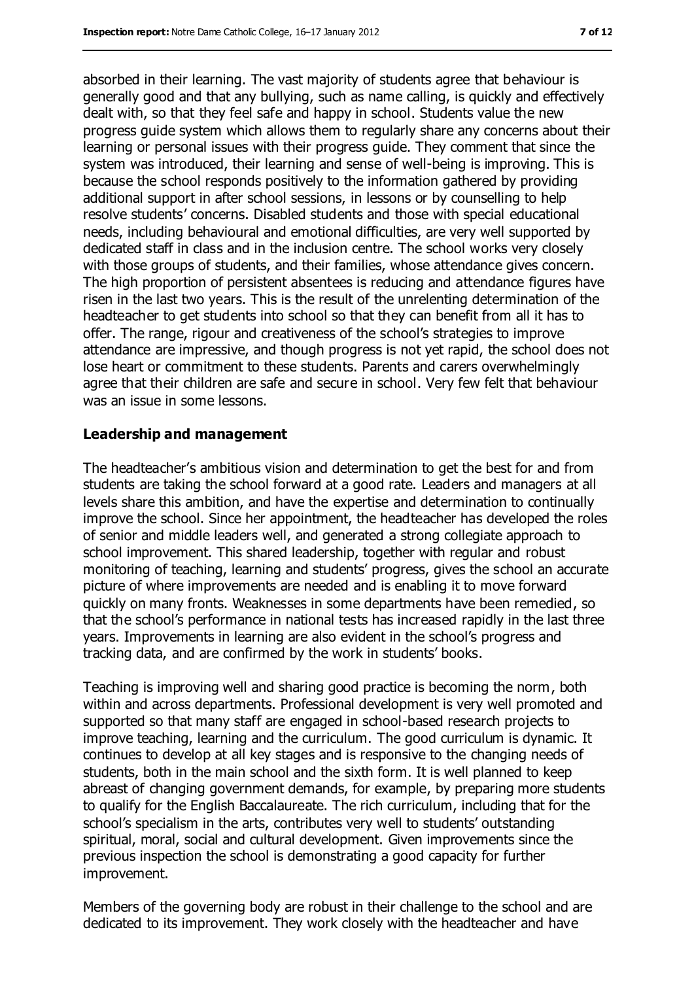absorbed in their learning. The vast majority of students agree that behaviour is generally good and that any bullying, such as name calling, is quickly and effectively dealt with, so that they feel safe and happy in school. Students value the new progress guide system which allows them to regularly share any concerns about their learning or personal issues with their progress guide. They comment that since the system was introduced, their learning and sense of well-being is improving. This is because the school responds positively to the information gathered by providing additional support in after school sessions, in lessons or by counselling to help resolve students' concerns. Disabled students and those with special educational needs, including behavioural and emotional difficulties, are very well supported by dedicated staff in class and in the inclusion centre. The school works very closely with those groups of students, and their families, whose attendance gives concern. The high proportion of persistent absentees is reducing and attendance figures have risen in the last two years. This is the result of the unrelenting determination of the headteacher to get students into school so that they can benefit from all it has to offer. The range, rigour and creativeness of the school's strategies to improve attendance are impressive, and though progress is not yet rapid, the school does not lose heart or commitment to these students. Parents and carers overwhelmingly agree that their children are safe and secure in school. Very few felt that behaviour was an issue in some lessons.

#### **Leadership and management**

The headteacher's ambitious vision and determination to get the best for and from students are taking the school forward at a good rate. Leaders and managers at all levels share this ambition, and have the expertise and determination to continually improve the school. Since her appointment, the headteacher has developed the roles of senior and middle leaders well, and generated a strong collegiate approach to school improvement. This shared leadership, together with regular and robust monitoring of teaching, learning and students' progress, gives the school an accurate picture of where improvements are needed and is enabling it to move forward quickly on many fronts. Weaknesses in some departments have been remedied, so that the school's performance in national tests has increased rapidly in the last three years. Improvements in learning are also evident in the school's progress and tracking data, and are confirmed by the work in students' books.

Teaching is improving well and sharing good practice is becoming the norm, both within and across departments. Professional development is very well promoted and supported so that many staff are engaged in school-based research projects to improve teaching, learning and the curriculum. The good curriculum is dynamic. It continues to develop at all key stages and is responsive to the changing needs of students, both in the main school and the sixth form. It is well planned to keep abreast of changing government demands, for example, by preparing more students to qualify for the English Baccalaureate. The rich curriculum, including that for the school's specialism in the arts, contributes very well to students' outstanding spiritual, moral, social and cultural development. Given improvements since the previous inspection the school is demonstrating a good capacity for further improvement.

Members of the governing body are robust in their challenge to the school and are dedicated to its improvement. They work closely with the headteacher and have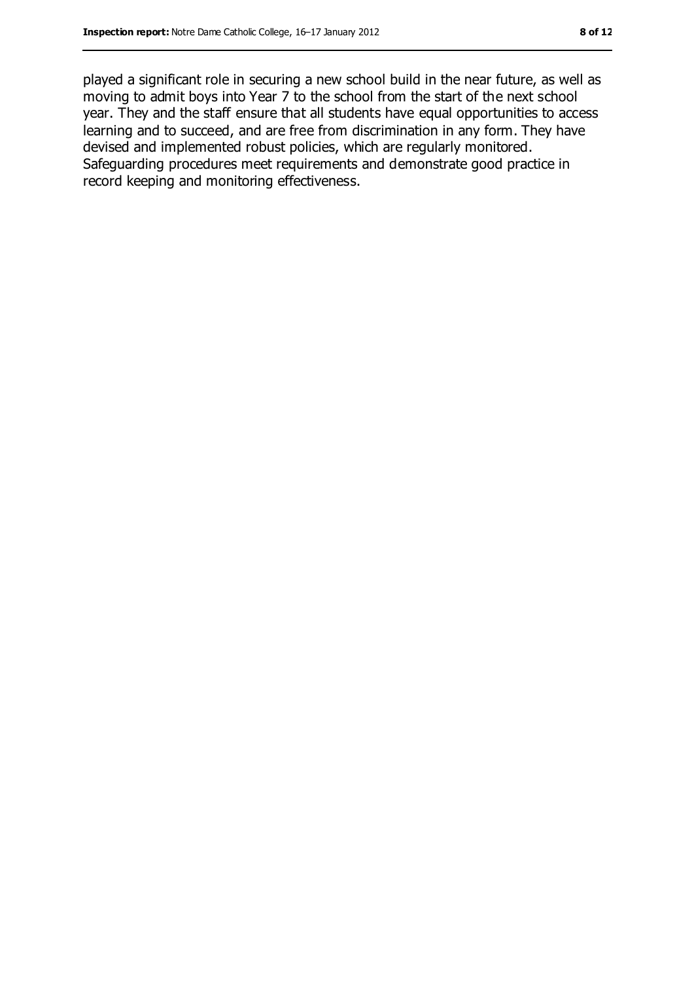played a significant role in securing a new school build in the near future, as well as moving to admit boys into Year 7 to the school from the start of the next school year. They and the staff ensure that all students have equal opportunities to access learning and to succeed, and are free from discrimination in any form. They have devised and implemented robust policies, which are regularly monitored. Safeguarding procedures meet requirements and demonstrate good practice in record keeping and monitoring effectiveness.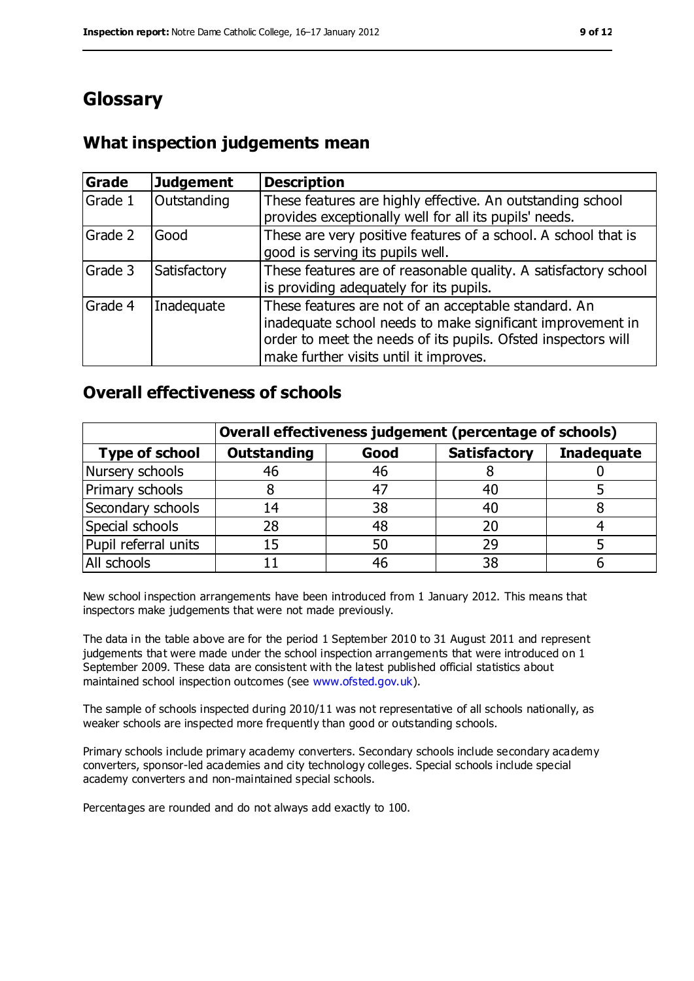# **Glossary**

### **What inspection judgements mean**

| Grade   | <b>Judgement</b> | <b>Description</b>                                                                                                                                                                                                            |
|---------|------------------|-------------------------------------------------------------------------------------------------------------------------------------------------------------------------------------------------------------------------------|
| Grade 1 | Outstanding      | These features are highly effective. An outstanding school<br>provides exceptionally well for all its pupils' needs.                                                                                                          |
| Grade 2 | Good             | These are very positive features of a school. A school that is<br>good is serving its pupils well.                                                                                                                            |
| Grade 3 | Satisfactory     | These features are of reasonable quality. A satisfactory school<br>is providing adequately for its pupils.                                                                                                                    |
| Grade 4 | Inadequate       | These features are not of an acceptable standard. An<br>inadequate school needs to make significant improvement in<br>order to meet the needs of its pupils. Ofsted inspectors will<br>make further visits until it improves. |

### **Overall effectiveness of schools**

|                       | Overall effectiveness judgement (percentage of schools) |      |                     |                   |
|-----------------------|---------------------------------------------------------|------|---------------------|-------------------|
| <b>Type of school</b> | <b>Outstanding</b>                                      | Good | <b>Satisfactory</b> | <b>Inadequate</b> |
| Nursery schools       | 46                                                      | 46   |                     |                   |
| Primary schools       |                                                         | -47  | 40                  |                   |
| Secondary schools     | 14                                                      | 38   | 40                  |                   |
| Special schools       | 28                                                      | 48   | 20                  |                   |
| Pupil referral units  | 15                                                      | 50   | 29                  |                   |
| All schools           |                                                         | 46   | 38                  |                   |

New school inspection arrangements have been introduced from 1 January 2012. This means that inspectors make judgements that were not made previously.

The data in the table above are for the period 1 September 2010 to 31 August 2011 and represent judgements that were made under the school inspection arrangements that were introduced on 1 September 2009. These data are consistent with the latest published official statistics about maintained school inspection outcomes (see [www.ofsted.gov.uk\)](www.ofsted.gov.uk).

The sample of schools inspected during 2010/11 was not representative of all schools nationally, as weaker schools are inspected more frequently than good or outstanding schools.

Primary schools include primary academy converters. Secondary schools include secondary academy converters, sponsor-led academies and city technology colleges. Special schools include special academy converters and non-maintained special schools.

Percentages are rounded and do not always add exactly to 100.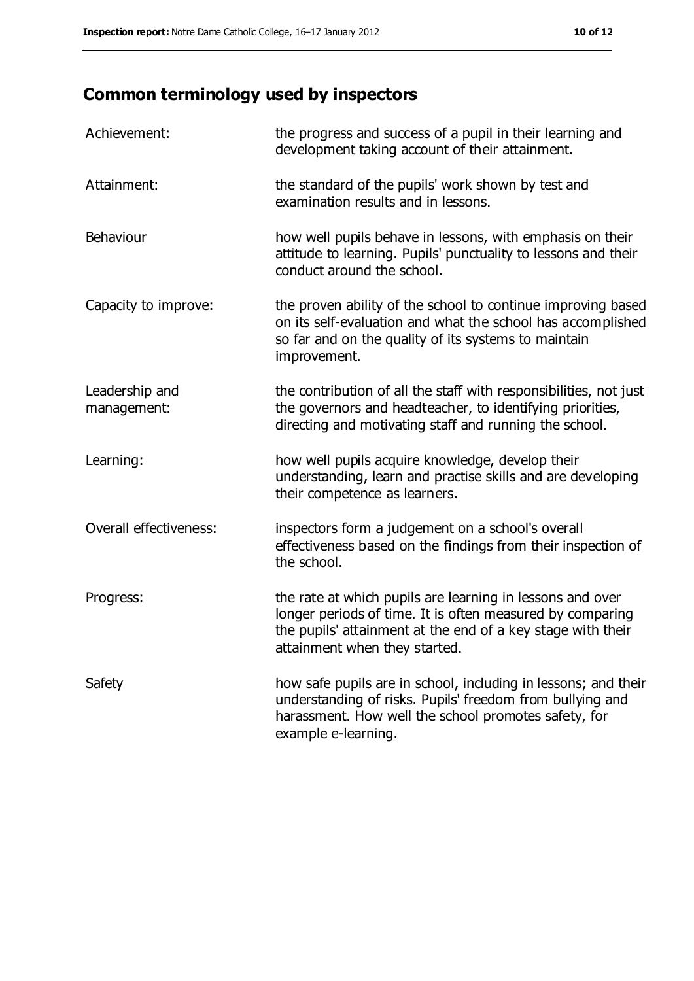# **Common terminology used by inspectors**

| Achievement:                  | the progress and success of a pupil in their learning and<br>development taking account of their attainment.                                                                                                           |
|-------------------------------|------------------------------------------------------------------------------------------------------------------------------------------------------------------------------------------------------------------------|
| Attainment:                   | the standard of the pupils' work shown by test and<br>examination results and in lessons.                                                                                                                              |
| Behaviour                     | how well pupils behave in lessons, with emphasis on their<br>attitude to learning. Pupils' punctuality to lessons and their<br>conduct around the school.                                                              |
| Capacity to improve:          | the proven ability of the school to continue improving based<br>on its self-evaluation and what the school has accomplished<br>so far and on the quality of its systems to maintain<br>improvement.                    |
| Leadership and<br>management: | the contribution of all the staff with responsibilities, not just<br>the governors and headteacher, to identifying priorities,<br>directing and motivating staff and running the school.                               |
| Learning:                     | how well pupils acquire knowledge, develop their<br>understanding, learn and practise skills and are developing<br>their competence as learners.                                                                       |
| Overall effectiveness:        | inspectors form a judgement on a school's overall<br>effectiveness based on the findings from their inspection of<br>the school.                                                                                       |
| Progress:                     | the rate at which pupils are learning in lessons and over<br>longer periods of time. It is often measured by comparing<br>the pupils' attainment at the end of a key stage with their<br>attainment when they started. |
| Safety                        | how safe pupils are in school, including in lessons; and their<br>understanding of risks. Pupils' freedom from bullying and<br>harassment. How well the school promotes safety, for<br>example e-learning.             |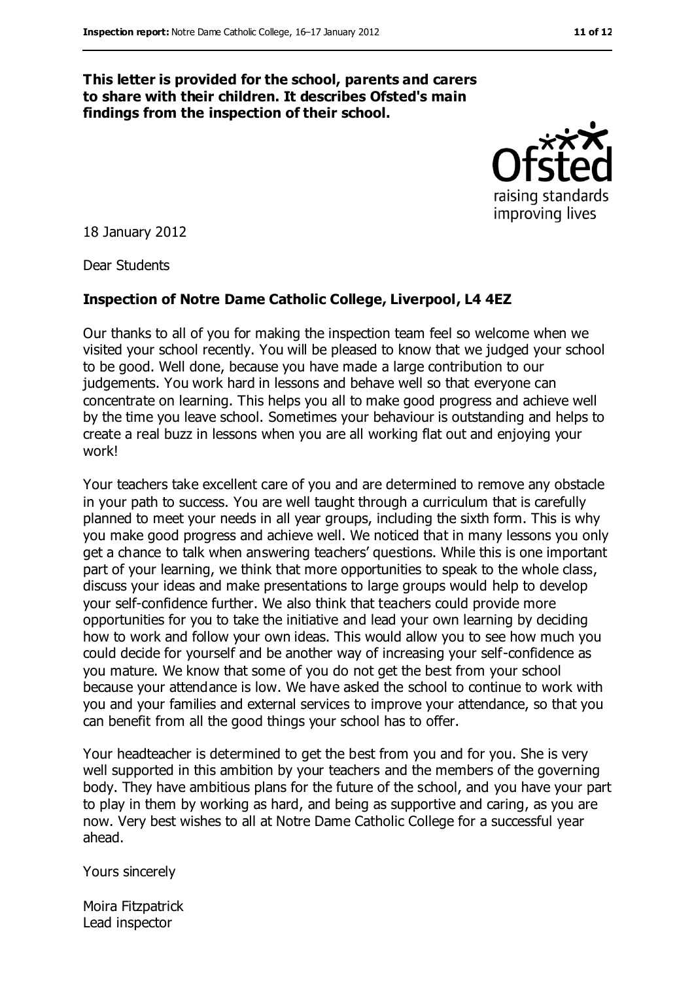#### **This letter is provided for the school, parents and carers to share with their children. It describes Ofsted's main findings from the inspection of their school.**

raising standards improving lives

18 January 2012

Dear Students

#### **Inspection of Notre Dame Catholic College, Liverpool, L4 4EZ**

Our thanks to all of you for making the inspection team feel so welcome when we visited your school recently. You will be pleased to know that we judged your school to be good. Well done, because you have made a large contribution to our judgements. You work hard in lessons and behave well so that everyone can concentrate on learning. This helps you all to make good progress and achieve well by the time you leave school. Sometimes your behaviour is outstanding and helps to create a real buzz in lessons when you are all working flat out and enjoying your work!

Your teachers take excellent care of you and are determined to remove any obstacle in your path to success. You are well taught through a curriculum that is carefully planned to meet your needs in all year groups, including the sixth form. This is why you make good progress and achieve well. We noticed that in many lessons you only get a chance to talk when answering teachers' questions. While this is one important part of your learning, we think that more opportunities to speak to the whole class, discuss your ideas and make presentations to large groups would help to develop your self-confidence further. We also think that teachers could provide more opportunities for you to take the initiative and lead your own learning by deciding how to work and follow your own ideas. This would allow you to see how much you could decide for yourself and be another way of increasing your self-confidence as you mature. We know that some of you do not get the best from your school because your attendance is low. We have asked the school to continue to work with you and your families and external services to improve your attendance, so that you can benefit from all the good things your school has to offer.

Your headteacher is determined to get the best from you and for you. She is very well supported in this ambition by your teachers and the members of the governing body. They have ambitious plans for the future of the school, and you have your part to play in them by working as hard, and being as supportive and caring, as you are now. Very best wishes to all at Notre Dame Catholic College for a successful year ahead.

Yours sincerely

Moira Fitzpatrick Lead inspector